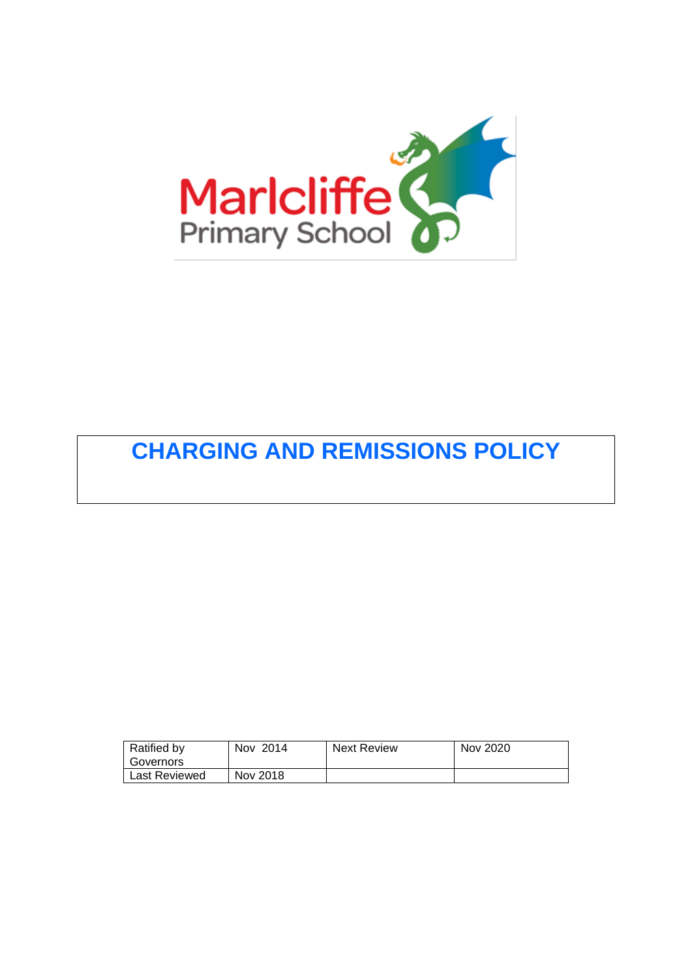

# **CHARGING AND REMISSIONS POLICY**

| Ratified by   | Nov 2014 | <b>Next Review</b> | Nov 2020 |
|---------------|----------|--------------------|----------|
| Governors     |          |                    |          |
| Last Reviewed | Nov 2018 |                    |          |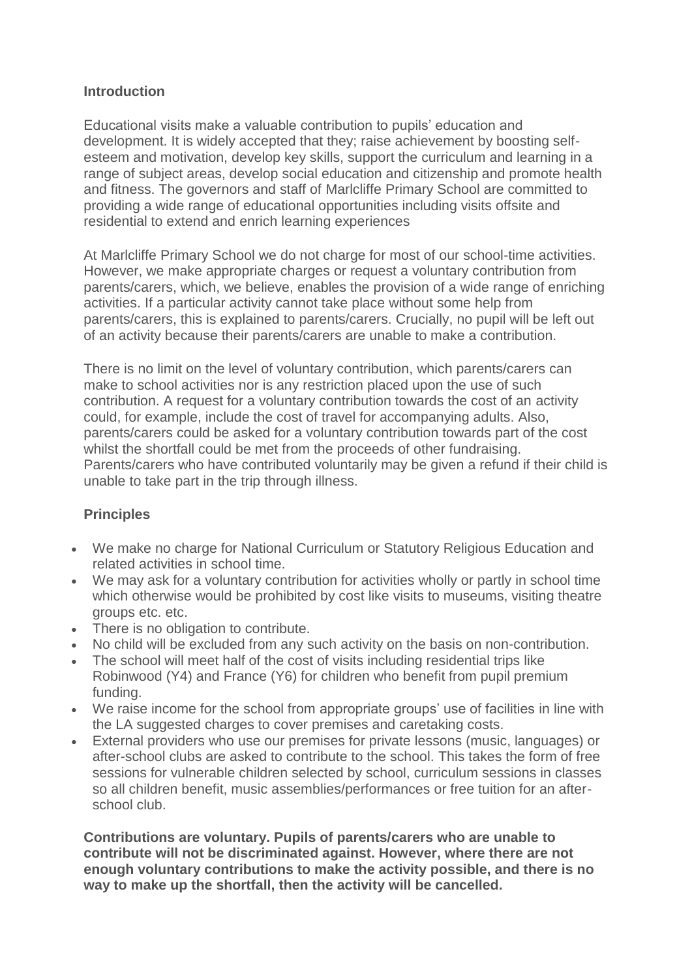### **Introduction**

Educational visits make a valuable contribution to pupils' education and development. It is widely accepted that they; raise achievement by boosting selfesteem and motivation, develop key skills, support the curriculum and learning in a range of subject areas, develop social education and citizenship and promote health and fitness. The governors and staff of Marlcliffe Primary School are committed to providing a wide range of educational opportunities including visits offsite and residential to extend and enrich learning experiences

At Marlcliffe Primary School we do not charge for most of our school-time activities. However, we make appropriate charges or request a voluntary contribution from parents/carers, which, we believe, enables the provision of a wide range of enriching activities. If a particular activity cannot take place without some help from parents/carers, this is explained to parents/carers. Crucially, no pupil will be left out of an activity because their parents/carers are unable to make a contribution.

There is no limit on the level of voluntary contribution, which parents/carers can make to school activities nor is any restriction placed upon the use of such contribution. A request for a voluntary contribution towards the cost of an activity could, for example, include the cost of travel for accompanying adults. Also, parents/carers could be asked for a voluntary contribution towards part of the cost whilst the shortfall could be met from the proceeds of other fundraising. Parents/carers who have contributed voluntarily may be given a refund if their child is unable to take part in the trip through illness.

# **Principles**

- We make no charge for National Curriculum or Statutory Religious Education and related activities in school time.
- We may ask for a voluntary contribution for activities wholly or partly in school time which otherwise would be prohibited by cost like visits to museums, visiting theatre groups etc. etc.
- There is no obligation to contribute.
- No child will be excluded from any such activity on the basis on non-contribution.
- The school will meet half of the cost of visits including residential trips like Robinwood (Y4) and France (Y6) for children who benefit from pupil premium funding.
- We raise income for the school from appropriate groups' use of facilities in line with the LA suggested charges to cover premises and caretaking costs.
- External providers who use our premises for private lessons (music, languages) or after-school clubs are asked to contribute to the school. This takes the form of free sessions for vulnerable children selected by school, curriculum sessions in classes so all children benefit, music assemblies/performances or free tuition for an afterschool club.

**Contributions are voluntary. Pupils of parents/carers who are unable to contribute will not be discriminated against. However, where there are not enough voluntary contributions to make the activity possible, and there is no way to make up the shortfall, then the activity will be cancelled.**